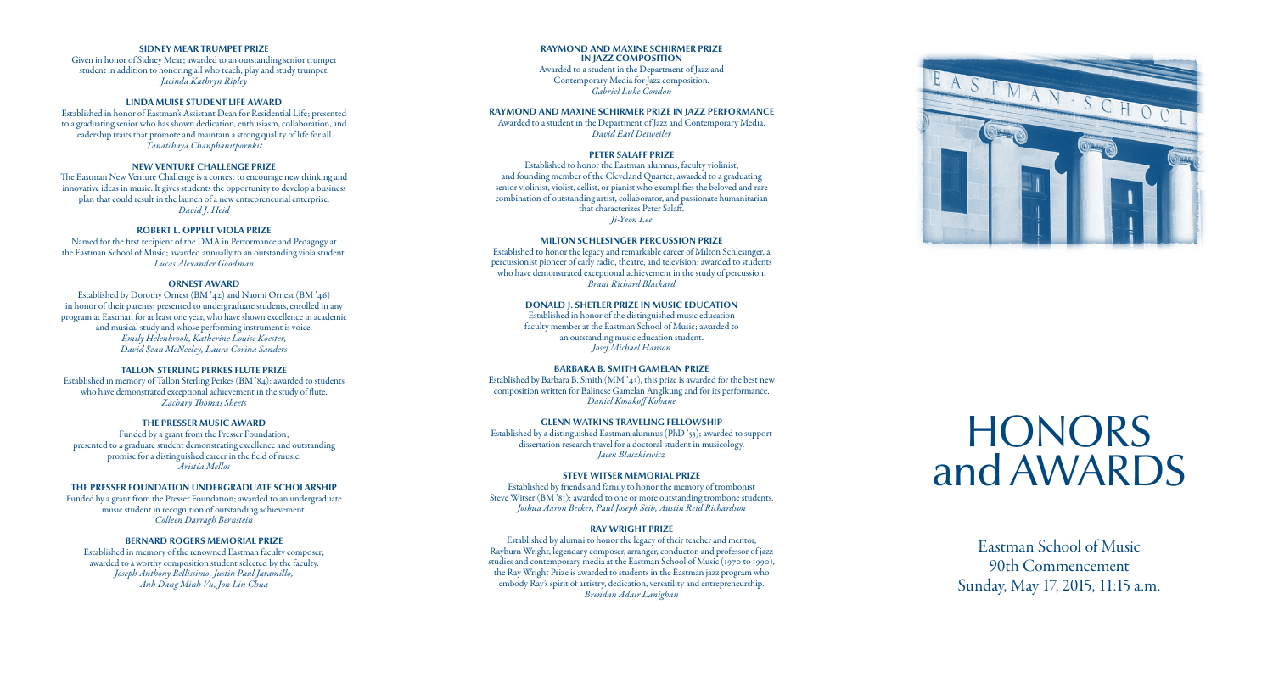Eastman School of Music 90th Commencement Sunday, May 17, 2015, 11:15 a.m.

# **HONORS** andAWARDS



# **SIDNEY MEAR TRUMPET PRIZE**

Given in honor of Sidney Mear; awarded to an outstanding senior trumpet student in addition to honoring all who teach, play and study trumpet. *Jacinda Kathryn Ripley*

# **LINDA MUISE STUDENT LIFE AWARD**

Established in honor of Eastman's Assistant Dean for Residential Life; presented to a graduating senior who has shown dedication, enthusiasm, collaboration, and leadership traits that promote and maintain a strong quality of life for all. *Tanatchaya Chanphanitpornkit*

# **NEW VENTURE CHALLENGE PRIZE**

The Eastman New Venture Challenge is a contest to encourage new thinking and innovative ideas in music. It gives students the opportunity to develop a business plan that could result in the launch of a new entrepreneurial enterprise. *David J. Heid*

# **ROBERT L. OPPELT VIOLA PRIZE**

Named for the first recipient of the DMA in Performance and Pedagogy at the Eastman School of Music; awarded annually to an outstanding viola student. *Lucas Alexander Goodman*

# **ORNEST AWARD**

Established by Dorothy Ornest (BM '42) and Naomi Ornest (BM '46) in honor of their parents; presented to undergraduate students, enrolled in any program at Eastman for at least one year, who have shown excellence in academic and musical study and whose performing instrument is voice. *Emily Helenbrook, Katherine Louise Koester, David Sean McNeeley, Laura Corina Sanders*

## **TALLON STERLING PERKES FLUTE PRIZE**

Established in memory of Tallon Sterling Perkes (BM '84); awarded to students who have demonstrated exceptional achievement in the study of flute. *Zachary Thomas Sheets*

# **THE PRESSER MUSIC AWARD**

Funded by a grant from the Presser Foundation; presented to a graduate student demonstrating excellence and outstanding promise for a distinguished career in the field of music. *Aristéa Mellos*

#### **THE PRESSER FOUNDATION UNDERGRADUATE SCHOLARSHIP**

Funded by a grant from the Presser Foundation; awarded to an undergraduate music student in recognition of outstanding achievement. *Colleen Darragh Bernstein*

## **BERNARD ROGERS MEMORIAL PRIZE**

Established in memory of the renowned Eastman faculty composer; awarded to a worthy composition student selected by the faculty. *Joseph Anthony Bellissimo, Justin Paul Jaramillo, Anh Dang Minh Vu, Jon Lin Chua*

### **RAYMOND AND MAXINE SCHIRMER PRIZE IN JAZZ COMPOSITION**

Awarded to a student in the Department of Jazz and Contemporary Media for Jazz composition. *Gabriel Luke Condon*

## **RAYMOND AND MAXINE SCHIRMER PRIZE IN JAZZ PERFORMANCE**

Awarded to a student in the Department of Jazz and Contemporary Media. *David Earl Detweiler*

# **PETER SALAFF PRIZE**

Established to honor the Eastman alumnus, faculty violinist, and founding member of the Cleveland Quartet; awarded to a graduating senior violinist, violist, cellist, or pianist who exemplifies the beloved and rare combination of outstanding artist, collaborator, and passionate humanitarian that characterizes Peter Salaff. *Ji-Yeon Lee*

# **MILTON SCHLESINGER PERCUSSION PRIZE**

Established to honor the legacy and remarkable career of Milton Schlesinger, a percussionist pioneer of early radio, theatre, and television; awarded to students who have demonstrated exceptional achievement in the study of percussion. *Brant Richard Blackard*

## **DONALD J. SHETLER PRIZE IN MUSIC EDUCATION**

Established in honor of the distinguished music education faculty member at the Eastman School of Music; awarded to an outstanding music education student. *Josef Michael Hanson*

#### **BARBARA B. SMITH GAMELAN PRIZE**

Established by Barbara B. Smith (MM '43), this prize is awarded for the best new composition written for Balinese Gamelan Anglkung and for its performance. *Daniel Kosakoff Kohane*

## **GLENN WATKINS TRAVELING FELLOWSHIP**

Established by a distinguished Eastman alumnus (PhD '53); awarded to support dissertation research travel for a doctoral student in musicology. *Jacek Blaszkiewicz*

### **STEVE WITSER MEMORIAL PRIZE**

Established by friends and family to honor the memory of trombonist Steve Witser (BM '81); awarded to one or more outstanding trombone students. *Joshua Aaron Becker, Paul Joseph Seib, Austin Reid Richardson*

#### **RAY WRIGHT PRIZE**

Established by alumni to honor the legacy of their teacher and mentor, Rayburn Wright, legendary composer, arranger, conductor, and professor of jazz studies and contemporary media at the Eastman School of Music (1970 to 1990), the Ray Wright Prize is awarded to students in the Eastman jazz program who embody Ray's spirit of artistry, dedication, versatility and entrepreneurship. *Brendan Adair Lanighan*